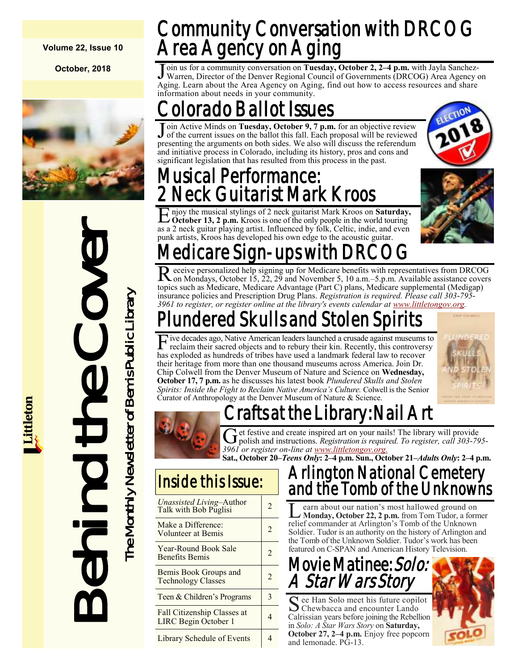**Volume 22, Issue 10**

**October, 2018**



Behind the Cover The Monthly Newsletter of Bemis Public Library The Monthly Newsletter of Bemis Public Library

## Community Conversation with DRCOG Area Agency on Aging

Join us for a community conversation on Tuesday, October 2, 2–4 p.m. with Jayla Sanchez-Warren, Director of the Denver Regional Council of Governments (DRCOG) Area Agency of Aging. Learn about the Area Agency on Aging, fin oin us for a community conversation on **Tuesday, October 2, 2–4 p.m.** with Jayla Sanchez-Warren, Director of the Denver Regional Council of Governments (DRCOG) Area Agency on information about needs in your community.

## Colorado Ballot Issues

Join Active Minds on Tuesday, October 9, 7 p.m. for an objective review<br>J of the current issues on the ballot this fall. Each proposal will be reviewed oin Active Minds on **Tuesday, October 9, 7 p.m.** for an objective review presenting the arguments on both sides. We also will discuss the referendum and initiative process in Colorado, including its history, pros and cons and significant legislation that has resulted from this process in the past.

### Musical Performance: **Neck Guitarist Mark Kroos**

E njoy the musical stylings of 2 neck guitarist Mark Kroos on **Saturday**<br> **Coctober 13, 2 p.m.** Kroos is one of the only people in the world touring njoy the musical stylings of 2 neck guitarist Mark Kroos on **Saturday,**  as a 2 neck guitar playing artist. Influenced by folk, Celtic, indie, and even punk artists, Kroos has developed his own edge to the acoustic guitar.



## edicare Sign-ups v

Receive personalized help signing up for Medicare benefits with representatives from DRCOG on Mondays, October 15, 22, 29 and November 5, 10 a.m.–5.p.m. Available assistance covers eceive personalized help signing up for Medicare benefits with representatives from DRCOG topics such as Medicare, Medicare Advantage (Part C) plans, Medicare supplemental (Medigap) insurance policies and Prescription Drug Plans. *Registration is required. Please call 303-795 3961 to register, or register online at the library's events calendar at [www.littletongov.org.](https://www.littletongov.org/city-services/city-departments/bemis-library/library-events-calendar/-curm-10/-cury-2018/-selcat-3)* 

## undered Skulls and Stolen Sp

Five decades ago, Native American leaders launched a crusade against museums to reclaim their sacred objects and to rebury their kin. Recently, this controversy ive decades ago, Native American leaders launched a crusade against museums to has exploded as hundreds of tribes have used a landmark federal law to recover their heritage from more than one thousand museums across America. Join Dr. Chip Colwell from the Denver Museum of Nature and Science on **Wednesday, October 17, 7 p.m.** as he discusses his latest book *Plundered Skulls and Stolen Spirits: Inside the Fight to Reclaim Native America's Culture.* Colwell is the Senior Curator of Anthropology at the Denver Museum of Nature & Science.



## Crafts at the Library: Nail Art



G et festive and create inspired art on your nails! The library will provide<br>polish and instructions. *Registration is required. To register, call 303-795*et festive and create inspired art on your nails! The library will provide *3961 or register on-line at [www.littletongov.org.](https://www.littletongov.org/city-services/city-departments/bemis-library/library-events-calendar/-curm-10/-cury-2018)*

**Sat., October 20–***Teens Only***: 2–4 p.m. Sun., October 21–***Adults Only***: 2–4 p.m.**

### Inside this Issue:

| Unassisted Living-Author<br>Talk with Bob Puglisi   | 2 |
|-----------------------------------------------------|---|
| Make a Difference:<br>Volunteer at Bemis            | 2 |
| Year-Round Book Sale<br><b>Benefits Bemis</b>       | 2 |
| Bemis Book Groups and<br><b>Technology Classes</b>  | 2 |
| Teen & Children's Programs                          | 3 |
| Fall Citizenship Classes at<br>LIRC Begin October 1 |   |
| <b>Library Schedule of Events</b>                   |   |

### Arlington National Cemetery and the Tomb of the Unknowns

L earn about our nation's most hallowed ground on **Monday, October 22, 2 p.m.** from Tom Tudor, a former relief commander at Arlington's Tomb of the Unknown Soldier. Tudor is an authority on the history of Arlington and the Tomb of the Unknown Soldier. Tudor's work has been featured on C-SPAN and American History Television.

Movie Matinee: Solo: A Star Wars Story

See Han Solo meet his future copil<br>Chewbacca and encounter Lando ee Han Solo meet his future copilot Calrissian years before joining the Rebellion in *Solo: A Star Wars Story* on **Saturday, October 27, 2–4 p.m.** Enjoy free popcorn and lemonade. PG-13.

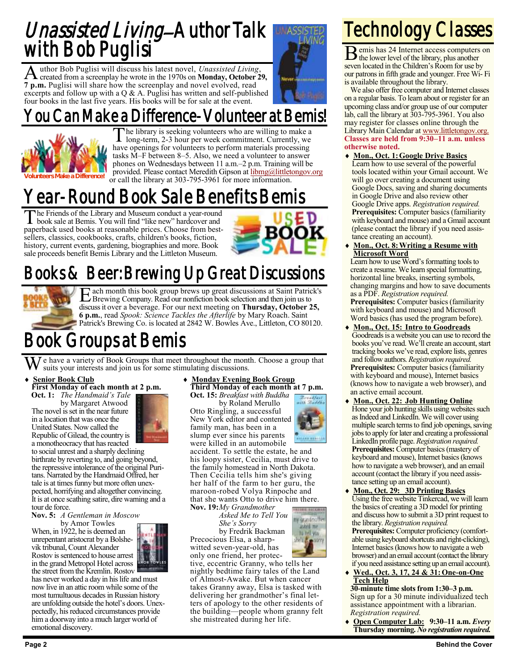### Unassisted Living-Author Talk with Bob Puglisi

A created from a screenplay he wrote in the 1970s on **Monday, October 29,** uthor Bob Puglisi will discuss his latest novel, *Unassisted Living*, **7 p.m.** Puglisi will share how the screenplay and novel evolved, read excerpts and follow up with a  $Q & A$ . Puglisi has written and self-published four books in the last five years. His books will be for sale at the event.

### Can Make a Difference-Volunteer at Bemis!



The library is seeking volunteers who are willing to make a long-term, 2-3 hour per week commitment. Currently, we he library is seeking volunteers who are willing to make a have openings for volunteers to perform materials processing tasks M–F between 8–5. Also, we need a volunteer to answer phones on Wednesdays between 11 a.m.–2 p.m. Training will be provided. Please contact Meredith Gipson at [libmg@littletongov.org](mailto:libmg@littletongov.org) or call the library at 303-795-3961 for more information.

### Year-Round Book Sale Benefits Bemis

T book sale at Bemis. You will find "like new" hardcover and he Friends of the Library and Museum conduct a year-round paperback used books at reasonable prices. Choose from bestsellers, classics, cookbooks, crafts, children's books, fiction, history, current events, gardening, biographies and more. Book sale proceeds benefit Bemis Library and the Littleton Museum.



### Books & Beer: Brewing Up Great Discussions



E ach month this book group brews up great discussions at Saint Patric<br>Experiment Company. Read our nonfiction book selection and then join us to ach month this book group brews up great discussions at Saint Patrick's discuss it over a beverage. For our next meeting on **Thursday, October 25, 6 p.m.**, read *Spook: Science Tackles the Afterlife* by Mary Roach. Saint Patrick's Brewing Co. is located at 2842 W. Bowles Ave., Littleton, CO 80120.

### Book Groups at Bemis

We have a variety of Book Groups that meet throughout the month. Choose a group that suits your interests and join us for some stimulating discussions.

#### **Senior Book Club**

**First Monday of each month at 2 p.m. Oct. 1:** *The Handmaid's Tale*

by Margaret Atwood The novel is set in the near future in a location that was once the United States. Now called the Republic of Gilead, the country is



a monotheocracy that has reacted to social unrest and a sharply declining birthrate by reverting to, and going beyond, the repressive intolerance of the original Puritans. Narrated by the Handmaid Offred, her tale is at times funny but more often unexpected, horrifying and altogether convincing. It is at once scathing satire, dire warning and a tour de force.

**Nov. 5:** *A Gentleman in Moscow*

by Amor Towles When, in 1922, he is deemed an unrepentant aristocrat by a Bolshevik tribunal, Count Alexander Rostov is sentenced to house arrest in the grand Metropol Hotel across the street from the Kremlin. Rostov



has never worked a day in his life and must now live in an attic room while some of the most tumultuous decades in Russian history are unfolding outside the hotel's doors. Unexpectedly, his reduced circumstances provide him a doorway into a much larger world of emotional discovery.

**Monday Evening Book Group**

**Third Monday of each month at 7 p.m. Oct. 15:** *Breakfast with Buddha*

by Roland Merullo Otto Ringling, a successful New York editor and contented family man, has been in a slump ever since his parents were killed in an automobile

accident. To settle the estate, he and his loopy sister, Cecilia, must drive to the family homestead in North Dakota. Then Cecilia tells him she's giving her half of the farm to her guru, the maroon-robed Volya Rinpoche and that she wants Otto to drive him there.

**Nov. 19:***My Grandmother Asked Me to Tell You She's Sorry* by Fredrik Backman

Precocious Elsa, a sharpwitted seven-year-old, has only one friend, her protec-

tive, eccentric Granny, who tells her nightly bedtime fairy tales of the Land of Almost-Awake. But when cancer takes Granny away, Elsa is tasked with delivering her grandmother's final letters of apology to the other residents of the building—people whom granny felt she mistreated during her life.



ny grandmoff usked me to tell you

## Technology Classes

B emis has 24 Internet access computers on the lower level of the library, plus another seven located in the Children's Room for use by our patrons in fifth grade and younger. Free Wi- Fi is available throughout the library.

We also offer free computer and Internet classes on a regular basis. To learn about or register for an upcoming class and/or group use of our computer lab, call the library at 303-795-3961. You also may register for classes online through the Library Main Calendar at [www.littletongov.org.](https://www.littletongov.org/city-services/city-departments/bemis-library/library-events-calendar/-curm-10/-cury-2018/-selcat-157) **Classes are held from 9:30–11 a.m. unless otherwise noted.**

- **Mon., Oct. 1:Google Drive Basics** Learn how to use several of the powerful tools located within your Gmail account. We will go over creating a document using Google Docs, saving and sharing documents in Google Drive and also review other Google Drive apps. *Registration required.* **Prerequisites:** Computer basics (familiarity with keyboard and mouse) and a Gmail account (please contact the library if you need assistance creating an account).
- **Mon., Oct. 8:Writing a Resume with Microsoft Word**

Learn how to use Word's formatting tools to create a resume. We learn special formatting, horizontal line breaks, inserting symbols, changing margins and how to save documents as a PDF. *Registration required.* **Prerequisites:** Computer basics (familiarity with keyboard and mouse) and Microsoft Word basics (has used the program before).

- **Mon., Oct. 15: Intro to Goodreads** Goodreads is a website you can use to record the books you've read. We'll create an account, start tracking books we've read, explore lists, genres and follow authors. *Registration required.* **Prerequisites:** Computer basics (familiarity with keyboard and mouse), Internet basics (knows how to navigate a web browser), and an active email account.
- **Mon., Oct. 22: Job Hunting Online** Hone your job hunting skills using websites such as Indeed and LinkedIn. We will cover using multiple search terms to find job openings, saving jobs to apply for later and creating a professional LinkedIn profile page. *Registration required.* **Prerequisites:** Computer basics (mastery of keyboard and mouse), Internet basics (knows how to navigate a web browser), and an email account (contact the library if you need assistance setting up an email account).
- **Mon., Oct. 29: 3D Printing Basics** Using the free website Tinkercad, we will learn the basics of creating a 3D model for printing and discuss how to submit a 3D print request to the library. *Registration required.* **Prerequisites:** Computer proficiency (comfortable using keyboard shortcuts and right-clicking), Internet basics (knows how to navigate a web browser) and an email account (contact the library if you need assistance setting up an email account).

#### **Wed., Oct. 3, 17, 24 & 31:One-on-One Tech Help**

**30-minute time slots from 1:30–3 p.m.** Sign up for a 30 minute individualized tech assistance appointment with a librarian. *Registration required.*

 **Open Computer Lab: 9:30–11 a.m.** *Every*  **Thursday morning.** *No registration required.*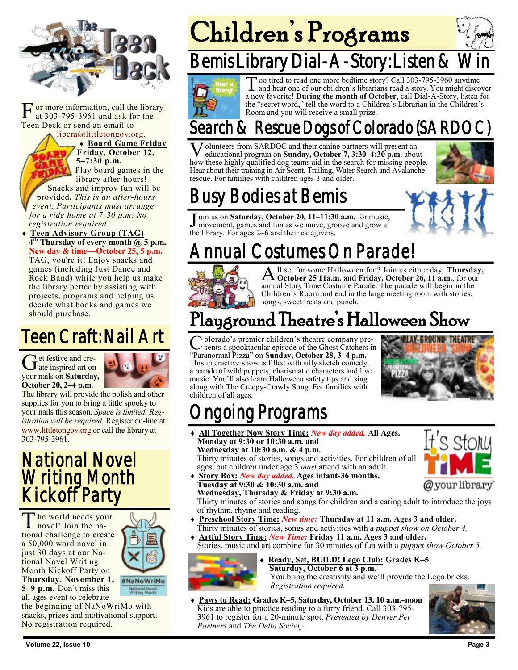

F or more information, call the<br>at 303-795-3961 and ask fo<br>Teen Deck or send an email to or more information, call the library at 303-795-3961 and ask for the

[libem@littletongov.org.](mailto:libem@littletongov.org.)

 **Board Game Friday Friday, October 12, 5–7:30 p.m.**

Play board games in the library after-hours! Snacks and improv fun will be provided**.** *This is an after-hours event. Participants must arrange* 

*for a ride home at 7:30 p.m. No registration required.* **Teen Advisory Group (TAG) 4 th Thursday of every month @ 5 p.m. New day & time—October 25, 5 p.m.** TAG, you're it! Enjoy snacks and games (including Just Dance and Rock Band) while you help us make the library better by assisting with projects, programs and helping us decide what books and games we

## Teen Craft: Nail Art

Get festive and cre-<br>date inspired art on et festive and creyour nails on **Saturday, October 20, 2–4 p.m.** 

should purchase.



The library will provide the polish and other supplies for you to bring a little spooky to your nails this season. *Space is limited. Registration will be required.* Register on-line at [www.littletongov.org](https://www.littletongov.org/city-services/city-departments/bemis-library/library-events-calendar/-curm-10/-cury-2018/-selcat-97) or call the library at 303-795-3961.

### National Novel Writing Month Kickoff Party

The world needs you<br>novel! Join the nahe world needs your tional challenge to create a 50,000 word novel in just 30 days at our National Novel Writing Month Kickoff Party on **Thursday, November 1, 5–9 p.m.** Don't miss this all ages event to celebrate



the beginning of NaNoWriMo with snacks, prizes and motivational support. No registration required.

# Children's Programs

## Bemis Library Dial-A-Story: Listen & \



To a tired to read one more bedtime story? Call 303-795-3960 anytime<br>and hear one of our children's librarians read a story. You might discover<br>a new favorite! **During the month of October**, call Dial-A-Story, listen for oo tired to read one more bedtime story? Call 303-795-3960 anytime and hear one of our children's librarians read a story. You might discover the "secret word," tell the word to a Children's Librarian in the Children's Room and you will receive a small prize.

### Search & Rescue Dogs of Colorado (SAR

V olunteers from SARDOC and their canine partners will present an educational program on **Sunday, October 7, 3:30–4:30 p.m.** about how these highly qualified dog teams aid in the search for missing people. olunteers from SARDOC and their canine partners will present an educational program on **Sunday, October 7, 3:30–4:30 p.m.** about Hear about their training in Air Scent, Trailing, Water Search and Avalanche rescue. For families with children ages 3 and older.



## Busy Bodies at Bemis

Join us on **Saturday, October 20, 11–11:3** movement, games and fun as we move, grothe library. For ages 2–6 and their caregivers. oin us on **Saturday, October 20, 11–11:30 a.m.** for music, movement, games and fun as we move, groove and grow at

## Annual Costumes On Parade!



A **October 25 11a.m. and Friday, October 26, 11 a.m.**, for our ll set for some Halloween fun? Join us either day, **Thursday,**  annual Story Time Costume Parade. The parade will begin in the Children's Room and end in the large meeting room with stories, songs, sweet treats and punch.

## Playground Theatre's Halloween Show

C olorado's premier children's theatre company provests a spooktacular episode of the Ghost Catchers<br>"Paranormal Pizza" on **Sunday, October 28, 3–4 p.m.** olorado's premier children's theatre company pre- $\mathcal{S}$  sents a spooktacular episode of the Ghost Catchers in This interactive show is filled with silly sketch comedy, a parade of wild puppets, charismatic characters and live music. You'll also learn Halloween safety tips and sing along with The Creepy-Crawly Song. For families with children of all ages.



## ngoing Programs

 **All Together Now Story Time:** *New day added.* **All Ages. Monday at 9:30 or 10:30 a.m. and Wednesday at 10:30 a.m. & 4 p.m.**

Thirty minutes of stories, songs and activities. For children of all ages, but children under age 3 *must* attend with an adult.

**Tuesday at 9:30 & 10:30 a.m. and**

**Story Box:** *New day added.* **Ages infant-36 months.**



**Wednesday, Thursday & Friday at 9:30 a.m.** Thirty minutes of stories and songs for children and a caring adult to introduce the joys of rhythm, rhyme and reading.

- **Preschool Story Time:** *New time:* **Thursday at 11 a.m. Ages 3 and older.** Thirty minutes of stories, songs and activities with a *puppet show on October 4.*
- **Artful Story Time:** *New Time:* **Friday 11 a.m. Ages 3 and older.** Stories, music and art combine for 30 minutes of fun with a *puppet show October 5.*



#### **Ready, Set, BUILD! Lego Club: Grades K–5 Saturday, October 6 at 3 p.m.** You bring the creativity and we'll provide the Lego bricks. *Registration required.*

 **Paws to Read: Grades K–5, Saturday, October 13, 10 a.m.–noon** Kids are able to practice reading to a furry friend. Call 303-795- 3961 to register for a 20-minute spot. *Presented by Denver Pet Partners* and *The Delta Society.*